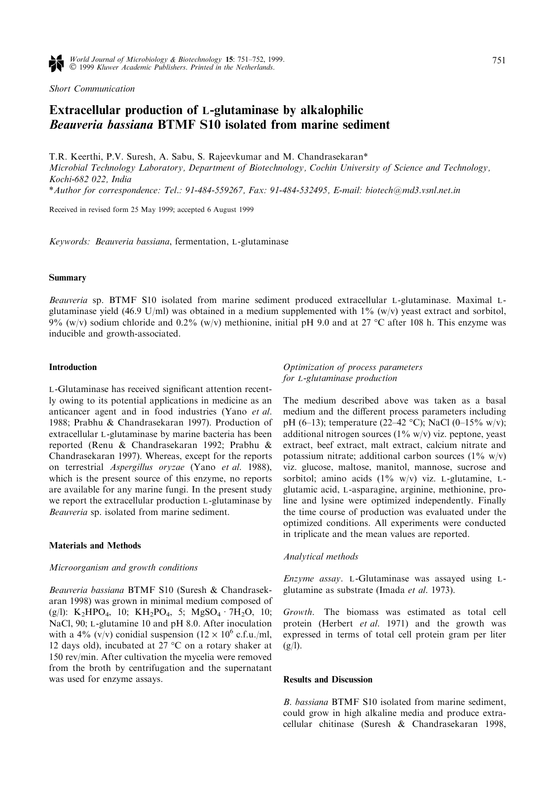Short Communication

# Extracellular production of L-glutaminase by alkalophilic Beauveria bassiana BTMF S10 isolated from marine sediment

T.R. Keerthi, P.V. Suresh, A. Sabu, S. Rajeevkumar and M. Chandrasekaran\*

Microbial Technology Laboratory, Department of Biotechnology, Cochin University of Science and Technology, Kochi-682 022, India

\*Author for correspondence: Tel.: 91-484-559267, Fax: 91-484-532495, E-mail: biotech@md3.vsnl.net.in

Received in revised form 25 May 1999; accepted 6 August 1999

Keywords: Beauveria bassiana, fermentation, L-glutaminase

## Summary

Beauveria sp. BTMF S10 isolated from marine sediment produced extracellular L-glutaminase. Maximal Lglutaminase yield (46.9 U/ml) was obtained in a medium supplemented with  $1\%$  (w/v) yeast extract and sorbitol, 9% (w/v) sodium chloride and 0.2% (w/v) methionine, initial pH 9.0 and at 27 °C after 108 h. This enzyme was inducible and growth-associated.

# Introduction

L-Glutaminase has received significant attention recently owing to its potential applications in medicine as an anticancer agent and in food industries (Yano et al. 1988; Prabhu & Chandrasekaran 1997). Production of extracellular L-glutaminase by marine bacteria has been reported (Renu & Chandrasekaran 1992; Prabhu & Chandrasekaran 1997). Whereas, except for the reports on terrestrial Aspergillus oryzae (Yano et al. 1988), which is the present source of this enzyme, no reports are available for any marine fungi. In the present study we report the extracellular production L-glutaminase by Beauveria sp. isolated from marine sediment.

### Materials and Methods

#### Microorganism and growth conditions

Beauveria bassiana BTMF S10 (Suresh & Chandrasekaran 1998) was grown in minimal medium composed of (g/l):  $K_2HPO_4$ , 10;  $KH_2PO_4$ , 5;  $MgSO_4 \cdot 7H_2O$ , 10; NaCl, 90; L-glutamine 10 and pH 8.0. After inoculation with a 4% (v/v) conidial suspension ( $12 \times 10^6$  c.f.u./ml, 12 days old), incubated at 27  $\mathrm{^{\circ}C}$  on a rotary shaker at 150 rev/min. After cultivation the mycelia were removed from the broth by centrifugation and the supernatant was used for enzyme assays.

Optimization of process parameters for L-glutaminase production

The medium described above was taken as a basal medium and the different process parameters including pH (6-13); temperature (22-42 °C); NaCl (0-15% w/v); additional nitrogen sources  $(1\% \text{ w/v})$  viz. peptone, yeast extract, beef extract, malt extract, calcium nitrate and potassium nitrate; additional carbon sources  $(1\%$  w/v) viz. glucose, maltose, manitol, mannose, sucrose and sorbitol; amino acids  $(1\% \t w/v)$  viz. L-glutamine, Lglutamic acid, L-asparagine, arginine, methionine, proline and lysine were optimized independently. Finally the time course of production was evaluated under the optimized conditions. All experiments were conducted in triplicate and the mean values are reported.

## Analytical methods

Enzyme assay. L-Glutaminase was assayed using Lglutamine as substrate (Imada et al. 1973).

Growth. The biomass was estimated as total cell protein (Herbert et al. 1971) and the growth was expressed in terms of total cell protein gram per liter  $(g/l)$ .

#### Results and Discussion

B. bassiana BTMF S10 isolated from marine sediment, could grow in high alkaline media and produce extracellular chitinase (Suresh & Chandrasekaran 1998,